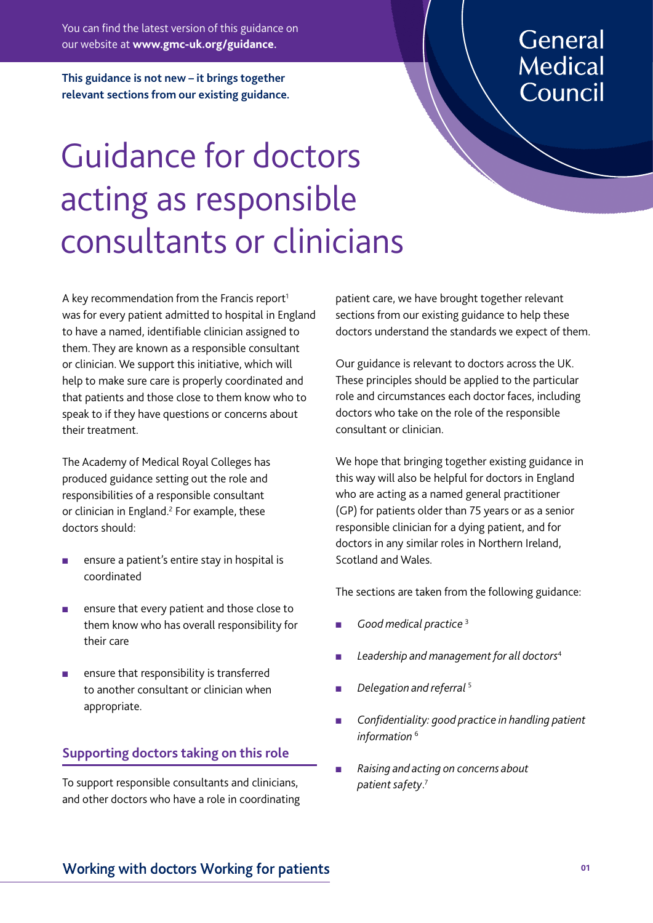You can find the latest version of this guidance on our website at **www.gmc-uk.org/guidance.**

**This guidance is not new – it brings together relevant sections from our existing guidance.**

## General **Medical** Council

# Guidance for doctors acting as responsible consultants or clinicians

A key recommendation from the Francis report<sup>1</sup> was for every patient admitted to hospital in England to have a named, identifiable clinician assigned to them. They are known as a responsible consultant or clinician. We support this initiative, which will help to make sure care is properly coordinated and that patients and those close to them know who to speak to if they have questions or concerns about their treatment.

The Academy of Medical Royal Colleges has produced guidance setting out the role and responsibilities of a responsible consultant or clinician in England.<sup>2</sup> For example, these doctors should:

- ensure a patient's entire stay in hospital is coordinated
- <sup>n</sup> ensure that every patient and those close to them know who has overall responsibility for their care
- ensure that responsibility is transferred to another consultant or clinician when appropriate.

#### **Supporting doctors taking on this role**

To support responsible consultants and clinicians, and other doctors who have a role in coordinating patient care, we have brought together relevant sections from our existing guidance to help these doctors understand the standards we expect of them.

Our guidance is relevant to doctors across the UK. These principles should be applied to the particular role and circumstances each doctor faces, including doctors who take on the role of the responsible consultant or clinician.

We hope that bringing together existing guidance in this way will also be helpful for doctors in England who are acting as a named general practitioner (GP) for patients older than 75 years or as a senior responsible clinician for a dying patient, and for doctors in any similar roles in Northern Ireland, Scotland and Wales.

The sections are taken from the following guidance:

- Good medical practice<sup>3</sup>
- Leadership and management for all doctors<sup>4</sup>
- <sup>n</sup> *Delegation and referral* <sup>5</sup>
- Confidentiality: good practice in handling patient *information* <sup>6</sup>
- <sup>n</sup> *Raising and acting on concerns about patient safety*. 7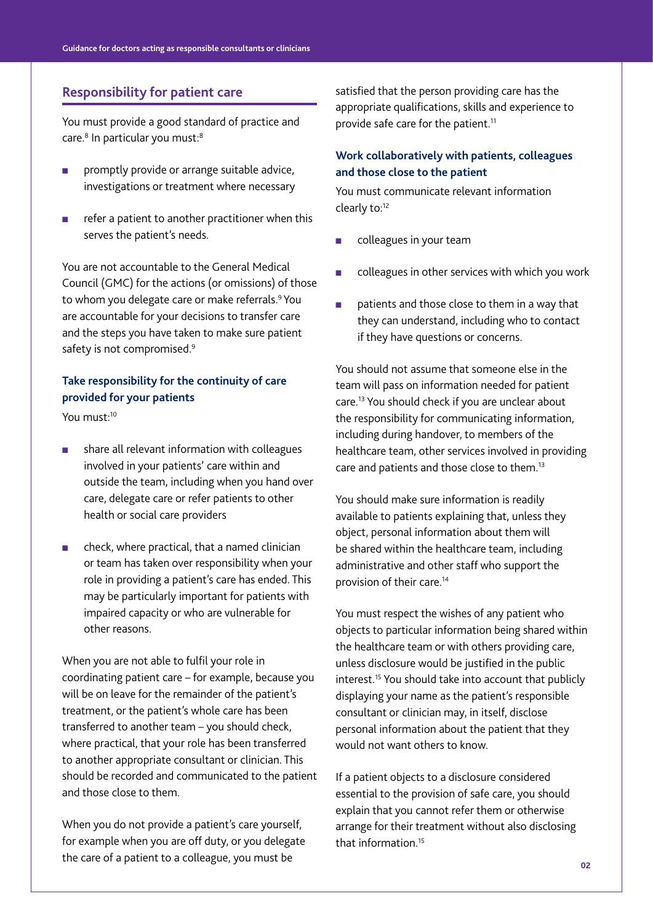#### **Responsibility for patient care**

You must provide a good standard of practice and care.<sup>8</sup> In particular you must:<sup>8</sup>

- **n** promptly provide or arrange suitable advice, investigations or treatment where necessary
- $\blacksquare$  refer a patient to another practitioner when this serves the patient's needs.

You are not accountable to the General Medical Council (GMC) for the actions (or omissions) of those to whom you delegate care or make referrals.<sup>9</sup> You are accountable for your decisions to transfer care and the steps you have taken to make sure patient safety is not compromised.<sup>9</sup>

### **Take responsibility for the continuity of care provided for your patients**

You must:10

- share all relevant information with colleagues involved in your patients' care within and outside the team, including when you hand over care, delegate care or refer patients to other health or social care providers
- $\blacksquare$  check, where practical, that a named clinician or team has taken over responsibility when your role in providing a patient's care has ended. This may be particularly important for patients with impaired capacity or who are vulnerable for other reasons.

When you are not able to fulfil your role in coordinating patient care – for example, because you will be on leave for the remainder of the patient's treatment, or the patient's whole care has been transferred to another team – you should check, where practical, that your role has been transferred to another appropriate consultant or clinician. This should be recorded and communicated to the patient and those close to them.

When you do not provide a patient's care yourself, for example when you are off duty, or you delegate the care of a patient to a colleague, you must be

satisfied that the person providing care has the appropriate qualifications, skills and experience to provide safe care for the patient.<sup>11</sup>

#### **Work collaboratively with patients, colleagues and those close to the patient**

You must communicate relevant information clearly to:12

- colleagues in your team
- colleagues in other services with which you work
- patients and those close to them in a way that they can understand, including who to contact if they have questions or concerns.

You should not assume that someone else in the team will pass on information needed for patient care.13 You should check if you are unclear about the responsibility for communicating information, including during handover, to members of the healthcare team, other services involved in providing care and patients and those close to them.<sup>13</sup>

You should make sure information is readily available to patients explaining that, unless they object, personal information about them will be shared within the healthcare team, including administrative and other staff who support the provision of their care.14

You must respect the wishes of any patient who objects to particular information being shared within the healthcare team or with others providing care, unless disclosure would be justified in the public interest.15 You should take into account that publicly displaying your name as the patient's responsible consultant or clinician may, in itself, disclose personal information about the patient that they would not want others to know.

If a patient objects to a disclosure considered essential to the provision of safe care, you should explain that you cannot refer them or otherwise arrange for their treatment without also disclosing that information.15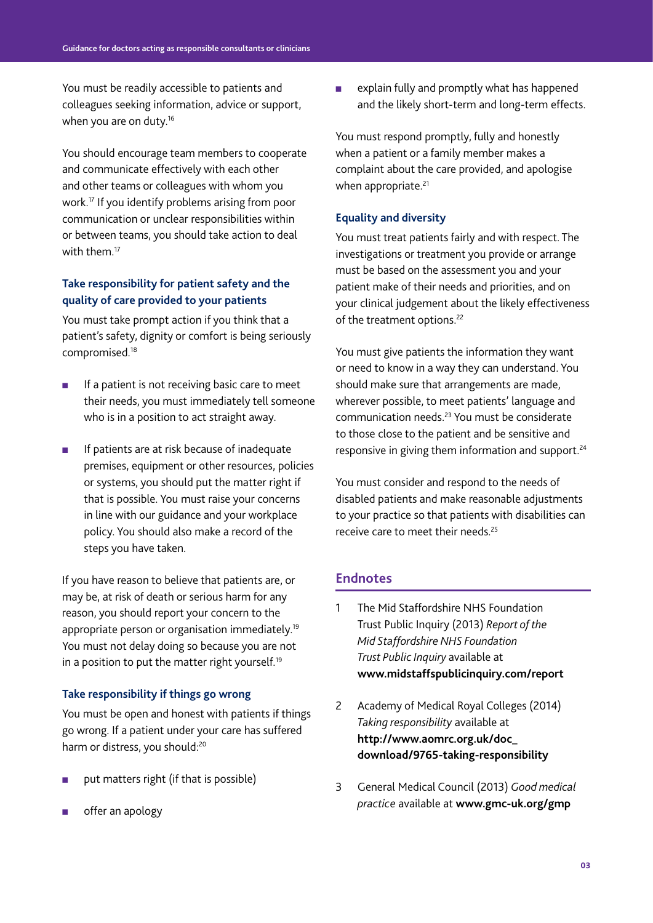You must be readily accessible to patients and colleagues seeking information, advice or support, when you are on duty.<sup>16</sup>

You should encourage team members to cooperate and communicate effectively with each other and other teams or colleagues with whom you work.17 If you identify problems arising from poor communication or unclear responsibilities within or between teams, you should take action to deal with them.<sup>17</sup>

#### **Take responsibility for patient safety and the quality of care provided to your patients**

You must take prompt action if you think that a patient's safety, dignity or comfort is being seriously compromised.18

- $\blacksquare$  If a patient is not receiving basic care to meet their needs, you must immediately tell someone who is in a position to act straight away.
- **n** If patients are at risk because of inadequate premises, equipment or other resources, policies or systems, you should put the matter right if that is possible. You must raise your concerns in line with our guidance and your workplace policy. You should also make a record of the steps you have taken.

If you have reason to believe that patients are, or may be, at risk of death or serious harm for any reason, you should report your concern to the appropriate person or organisation immediately.19 You must not delay doing so because you are not in a position to put the matter right yourself.<sup>19</sup>

#### **Take responsibility if things go wrong**

You must be open and honest with patients if things go wrong. If a patient under your care has suffered harm or distress, you should:<sup>20</sup>

- put matters right (if that is possible)
- offer an apology

**n** explain fully and promptly what has happened and the likely short-term and long-term effects.

You must respond promptly, fully and honestly when a patient or a family member makes a complaint about the care provided, and apologise when appropriate.<sup>21</sup>

#### **Equality and diversity**

You must treat patients fairly and with respect. The investigations or treatment you provide or arrange must be based on the assessment you and your patient make of their needs and priorities, and on your clinical judgement about the likely effectiveness of the treatment options.<sup>22</sup>

You must give patients the information they want or need to know in a way they can understand. You should make sure that arrangements are made, wherever possible, to meet patients' language and communication needs.23 You must be considerate to those close to the patient and be sensitive and responsive in giving them information and support.24

You must consider and respond to the needs of disabled patients and make reasonable adjustments to your practice so that patients with disabilities can receive care to meet their needs.25

#### **Endnotes**

- 1 The Mid Staffordshire NHS Foundation Trust Public Inquiry (2013) *Report of the Mid Staffordshire NHS Foundation Trust Public Inquiry* available at **www.midstaffspublicinquiry.com/report**
- 2 Academy of Medical Royal Colleges (2014) *Taking responsibility* available at **http://www.aomrc.org.uk/doc\_ download/9765-taking-responsibility**
- 3 General Medical Council (2013) *Good medical practice* available at **www.gmc-uk.org/gmp**